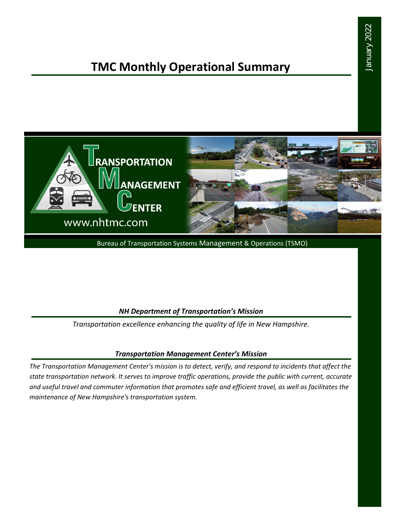# January 2022 January 2022

## **TMC Monthly Operational Summary**



Bureau of Transportation Systems Management & Operations (TSMO)

### *NH Department of Transportation's Mission*

*Transportation excellence enhancing the quality of life in New Hampshire.*

### *Transportation Management Center's Mission*

*The Transportation Management Center's mission is to detect, verify, and respond to incidents that affect the state transportation network. It serves to improve traffic operations, provide the public with current, accurate and useful travel and commuter information that promotes safe and efficient travel, as well as facilitates the maintenance of New Hampshire's transportation system.*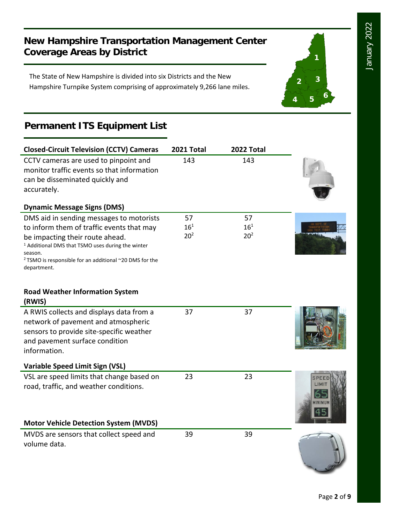**1**

**2 3**

**<sup>4</sup> <sup>5</sup> <sup>6</sup>**

### **New Hampshire Transportation Management Center Coverage Areas by District**

The State of New Hampshire is divided into six Districts and the New Hampshire Turnpike System comprising of approximately 9,266 lane miles.

### **Permanent ITS Equipment List**

| <b>Closed-Circuit Television (CCTV) Cameras</b>                                                                                                                                                 | 2021 Total      | 2022 Total      |          |
|-------------------------------------------------------------------------------------------------------------------------------------------------------------------------------------------------|-----------------|-----------------|----------|
| CCTV cameras are used to pinpoint and<br>monitor traffic events so that information<br>can be disseminated quickly and<br>accurately.                                                           | 143             | 143             |          |
| <b>Dynamic Message Signs (DMS)</b>                                                                                                                                                              |                 |                 |          |
| DMS aid in sending messages to motorists                                                                                                                                                        | 57              | 57              |          |
| to inform them of traffic events that may                                                                                                                                                       | $16^{1}$        | $16^{1}$        |          |
| be impacting their route ahead.<br><sup>1</sup> Additional DMS that TSMO uses during the winter<br>season.<br><sup>2</sup> TSMO is responsible for an additional ~20 DMS for the<br>department. | 20 <sup>2</sup> | 20 <sup>2</sup> |          |
| <b>Road Weather Information System</b><br>(RWIS)                                                                                                                                                |                 |                 |          |
| A RWIS collects and displays data from a<br>network of pavement and atmospheric<br>sensors to provide site-specific weather<br>and pavement surface condition<br>information.                   | 37              | 37              |          |
| Variable Speed Limit Sign (VSL)                                                                                                                                                                 |                 |                 |          |
| VSL are speed limits that change based on<br>road, traffic, and weather conditions.                                                                                                             | 23              | 23              | IINIMIIN |
| <b>Motor Vehicle Detection System (MVDS)</b>                                                                                                                                                    |                 |                 |          |
| MVDS are sensors that collect speed and<br>volume data.                                                                                                                                         | 39              | 39              |          |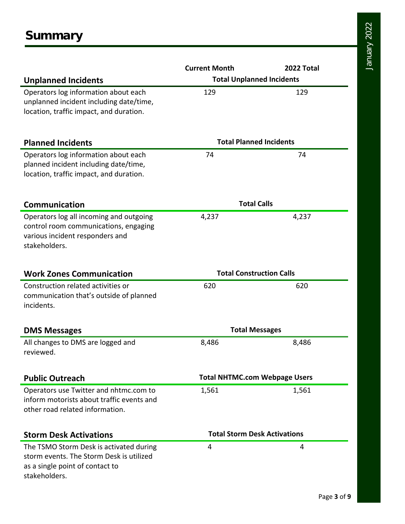|                                                                                                                                         | <b>Current Month</b>                 | 2022 Total |  |
|-----------------------------------------------------------------------------------------------------------------------------------------|--------------------------------------|------------|--|
| <b>Unplanned Incidents</b>                                                                                                              | <b>Total Unplanned Incidents</b>     |            |  |
| Operators log information about each<br>unplanned incident including date/time,<br>location, traffic impact, and duration.              | 129                                  | 129        |  |
| <b>Planned Incidents</b>                                                                                                                | <b>Total Planned Incidents</b>       |            |  |
| Operators log information about each<br>planned incident including date/time,<br>location, traffic impact, and duration.                | 74                                   | 74         |  |
| Communication                                                                                                                           | <b>Total Calls</b>                   |            |  |
| Operators log all incoming and outgoing<br>control room communications, engaging<br>various incident responders and<br>stakeholders.    | 4,237                                | 4,237      |  |
| <b>Work Zones Communication</b>                                                                                                         | <b>Total Construction Calls</b>      |            |  |
| Construction related activities or<br>communication that's outside of planned<br>incidents.                                             | 620                                  | 620        |  |
| <b>DMS Messages</b>                                                                                                                     | <b>Total Messages</b>                |            |  |
| All changes to DMS are logged and<br>reviewed.                                                                                          | 8,486                                | 8,486      |  |
| <b>Public Outreach</b>                                                                                                                  | <b>Total NHTMC.com Webpage Users</b> |            |  |
| Operators use Twitter and nhtmc.com to<br>inform motorists about traffic events and<br>other road related information.                  | 1,561                                | 1,561      |  |
| <b>Storm Desk Activations</b>                                                                                                           | <b>Total Storm Desk Activations</b>  |            |  |
| The TSMO Storm Desk is activated during<br>storm events. The Storm Desk is utilized<br>as a single point of contact to<br>stakeholders. | 4                                    | 4          |  |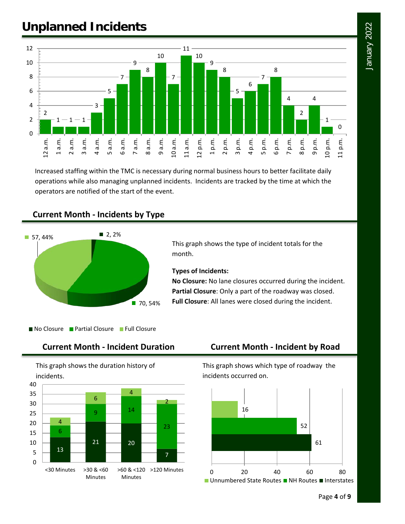## January 2022 January 2022

### **Unplanned Incidents**



Increased staffing within the TMC is necessary during normal business hours to better facilitate daily operations while also managing unplanned incidents. Incidents are tracked by the time at which the operators are notified of the start of the event.

### **Current Month - Incidents by Type**



This graph shows the type of incident totals for the month.

### **Types of Incidents:**

**No Closure:** No lane closures occurred during the incident. **Partial Closure**: Only a part of the roadway was closed. **Full Closure**: All lanes were closed during the incident.

No Closure Partial Closure Full Closure

### **Current Month - Incident Duration Current Month - Incident by Road**

This graph shows the duration history of incidents.



This graph shows which type of roadway the incidents occurred on.

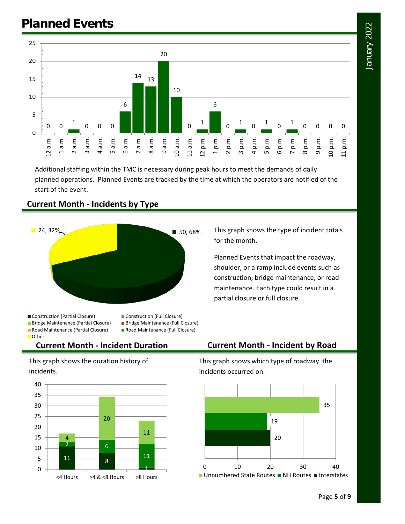### **Planned Events**



Additional staffing within the TMC is necessary during peak hours to meet the demands of daily planned operations. Planned Events are tracked by the time at which the operators are notified of the start of the event.

# $24,32\%$

**Current Month - Incidents by Type**



■ Bridge Maintenance (Partial Closure) ■ Bridge Maintenance (Full Closure) ■ Road Maintenance (Partial Closure) ■ Road Maintenance (Full Closure) **Other** 

### **Current Month - Incident Duration Current Month - Incident by Road**

This graph shows the duration history of incidents.



This graph shows which type of roadway the incidents occurred on.



This graph shows the type of incident totals for the month.

Planned Events that impact the roadway, shoulder, or a ramp include events such as construction, bridge maintenance, or road maintenance. Each type could result in a partial closure or full closure.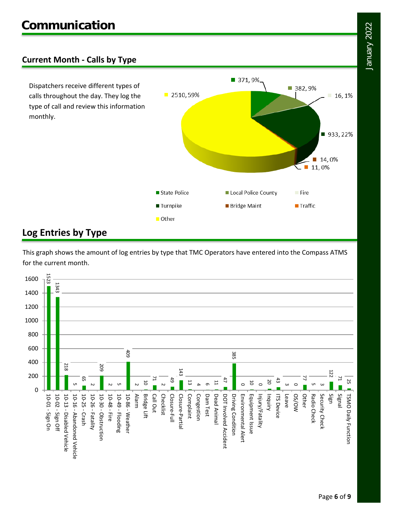### **Current Month - Calls by Type**

Dispatchers receive different types of calls throughout the day. They log the type of call and review this information monthly.



### **Log Entries by Type**

This graph shows the amount of log entries by type that TMC Operators have entered into the Compass ATMS for the current month.

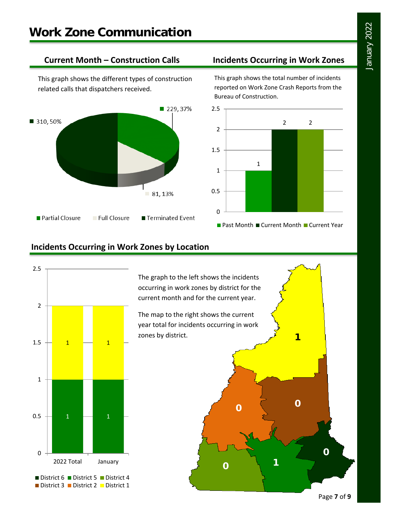This graph shows the different types of construction related calls that dispatchers received.



### **Current Month – Construction Calls Incidents Occurring in Work Zones**

This graph shows the total number of incidents reported on Work Zone Crash Reports from the Bureau of Construction.



### **Incidents Occurring in Work Zones by Location**



The graph to the left shows the incidents occurring in work zones by district for the current month and for the current year.

The map to the right shows the current year total for incidents occurring in work zones by district.

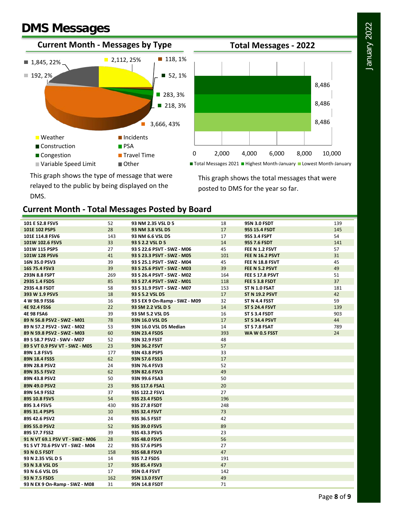### **DMS Messages**





■ Total Messages 2021 ■ Highest Month-January ■ Lowest Month-January

This graph shows the total messages that were posted to DMS for the year so far.

This graph shows the type of message that were relayed to the public by being displayed on the DMS.

### **Current Month - Total Messages Posted by Board**

| 101 E 52.8 FSV5                 | 52  | 93 NM 2.35 VSL D 5            | 18  | <b>95N 3.0 FSDT</b>    | 139 |
|---------------------------------|-----|-------------------------------|-----|------------------------|-----|
| 101E 102 PSP5                   | 28  | 93 NM 3.8 VSL D5              | 17  | 95S 15.4 FSDT          | 145 |
| 101E 114.8 FSV6                 | 143 | 93 NM 6.6 VSL D5              | 17  | 95S 3.4 FSPT           | 54  |
| 101W 102.6 FSV5                 | 33  | 93 S 2.2 VSL D 5              | 14  | <b>95S 7.6 FSDT</b>    | 141 |
| 101W 115 PSP5                   | 27  | 93 S 22.6 PSVT - SWZ - M06    | 45  | FEE N 1.2 FSVT         | 57  |
| 101W 128 PSV6                   | 41  | 93 S 23.3 PSVT - SWZ - M05    | 101 | <b>FEE N 16.2 PSVT</b> | 31  |
| 16N 35.0 PSV3                   | 39  | 93 S 25.1 PSVT - SWZ - M04    | 45  | FEE N 18.8 FSVT        | 45  |
| 16S 75.4 FSV3                   | 39  | 93 S 25.6 PSVT - SWZ - M03    | 39  | FEE N 5.2 PSVT         | 49  |
| 293N 8.8 FSPT                   | 269 | 93 S 26.4 PSVT - SWZ - M02    | 164 | FEE S 17.8 PSVT        | 51  |
| 293S 1.4 FSD5                   | 85  | 93 S 27.4 PSVT - SWZ - M01    | 118 | FEE S 3.8 FSDT         | 37  |
| 293S 4.8 FSDT                   | 58  | 93 S 31.9 PSVT - SWZ - M07    | 153 | ST N 1.0 FSAT          | 181 |
| 393 W 1.9 PSV5                  | 18  | 93 S 5.2 VSL D5               | 17  | <b>ST N 19.2 PSVT</b>  | 42  |
| 4 W 98.9 FSS6                   | 16  | 93 S EX 9 On-Ramp - SWZ - M09 | 32  | ST N 4.4 FSST          | 59  |
| 4E 92.4 FSS6                    | 22  | 93 SM 2.2 VSL D 5             | 14  | <b>ST S 24.4 FSVT</b>  | 139 |
| <b>4E 98 FSA6</b>               | 39  | 93 SM 5.2 VSL D5              | 16  | ST S 3.4 FSDT          | 903 |
| 89 N 56.8 PSV2 - SWZ - M01      | 78  | 93N 16.0 VSL D5               | 17  | <b>ST S 34.4 PSVT</b>  | 44  |
| 89 N 57.2 PSV2 - SWZ - M02      | 53  | 93N 16.0 VSL D5 Median        | 14  | ST S 7.8 FSAT          | 789 |
| 89 N 59.8 PSV2 - SWZ - M03      | 60  | 93N 23.4 FSD5                 | 393 | <b>WA W 0.5 FSST</b>   | 24  |
| 89 S 58.7 PSV2 - SWV - M07      | 52  | 93N 32.9 FSST                 | 48  |                        |     |
| 89 S VT 0.9 PSV VT - SWZ - M05  | 23  | 93N 36.2 FSVT                 | 57  |                        |     |
| 89N 1.8 FSV5                    | 177 | 93N 43.8 PSP5                 | 33  |                        |     |
| 89N 18.4 FSS5                   | 62  | 93N 57.6 FSS3                 | 17  |                        |     |
| 89N 28.8 PSV2                   | 24  | 93N 76.4 FSV3                 | 52  |                        |     |
| 89N 35.5 FSV2                   | 62  | 93N 82.6 FSV3                 | 49  |                        |     |
| 89N 43.8 PSV2                   | 50  | 93N 99.6 FSA3                 | 50  |                        |     |
| 89N 49.0 PSV2                   | 23  | 93S 117.6 FSA1                | 20  |                        |     |
| 89N 54.9 FSS2                   | 37  | 93S 122.2 FSV1                | 27  |                        |     |
| 89S 10.8 FSV5                   | 54  | 93S 23.4 FSD5                 | 196 |                        |     |
| 89S 3.4 FSV5                    | 430 | 93S 27.8 FSDT                 | 248 |                        |     |
| 89S 31.4 PSP5                   | 10  | 93S 32.4 FSVT                 | 73  |                        |     |
| 89S 42.6 PSV2                   | 24  | 93S 36.5 FSST                 | 42  |                        |     |
| 89S 55.0 PSV2                   | 52  | 93S 39.0 FSV5                 | 89  |                        |     |
| 89S 57.7 FSS2                   | 39  | 93S 43.3 PSV5                 | 23  |                        |     |
| 91 N VT 69.1 PSV VT - SWZ - M06 | 28  | 93S 48.0 FSV5                 | 56  |                        |     |
| 91 S VT 70.6 PSV VT - SWZ - M04 | 22  | 93S 57.6 PSP5                 | 27  |                        |     |
| 93 N 0.5 FSDT                   | 158 | 93S 68.8 FSV3                 | 47  |                        |     |
| 93 N 2.35 VSL D 5               | 14  | 93S 7.2 FSD5                  | 191 |                        |     |
| 93 N 3.8 VSL D5                 | 17  | 93S 85.4 FSV3                 | 47  |                        |     |
| 93 N 6.6 VSL D5                 | 17  | 95N 0.4 FSVT                  | 142 |                        |     |
| 93 N 7.5 FSD5                   | 162 | <b>95N 13.0 FSVT</b>          | 49  |                        |     |
| 93 N EX 9 On-Ramp - SWZ - M08   | 31  | 95N 14.8 FSDT                 | 71  |                        |     |